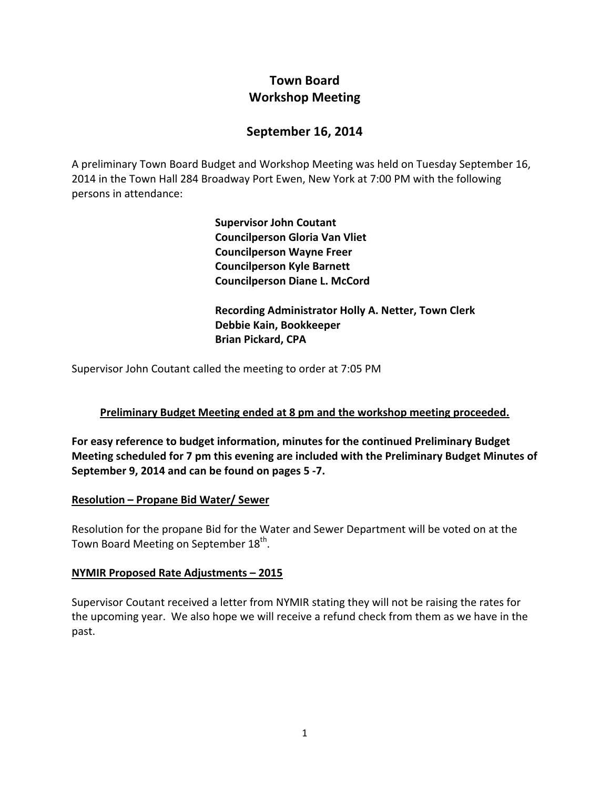# **Town Board Workshop Meeting**

## **September 16, 2014**

A preliminary Town Board Budget and Workshop Meeting was held on Tuesday September 16, 2014 in the Town Hall 284 Broadway Port Ewen, New York at 7:00 PM with the following persons in attendance:

> **Supervisor John Coutant Councilperson Gloria Van Vliet Councilperson Wayne Freer Councilperson Kyle Barnett Councilperson Diane L. McCord**

 **Recording Administrator Holly A. Netter, Town Clerk Debbie Kain, Bookkeeper Brian Pickard, CPA**

Supervisor John Coutant called the meeting to order at 7:05 PM

### **Preliminary Budget Meeting ended at 8 pm and the workshop meeting proceeded.**

**For easy reference to budget information, minutes for the continued Preliminary Budget Meeting scheduled for 7 pm this evening are included with the Preliminary Budget Minutes of September 9, 2014 and can be found on pages 5 ‐7.**

### **Resolution – Propane Bid Water/ Sewer**

Resolution for the propane Bid for the Water and Sewer Department will be voted on at the Town Board Meeting on September 18<sup>th</sup>.

### **NYMIR Proposed Rate Adjustments – 2015**

Supervisor Coutant received a letter from NYMIR stating they will not be raising the rates for the upcoming year. We also hope we will receive a refund check from them as we have in the past.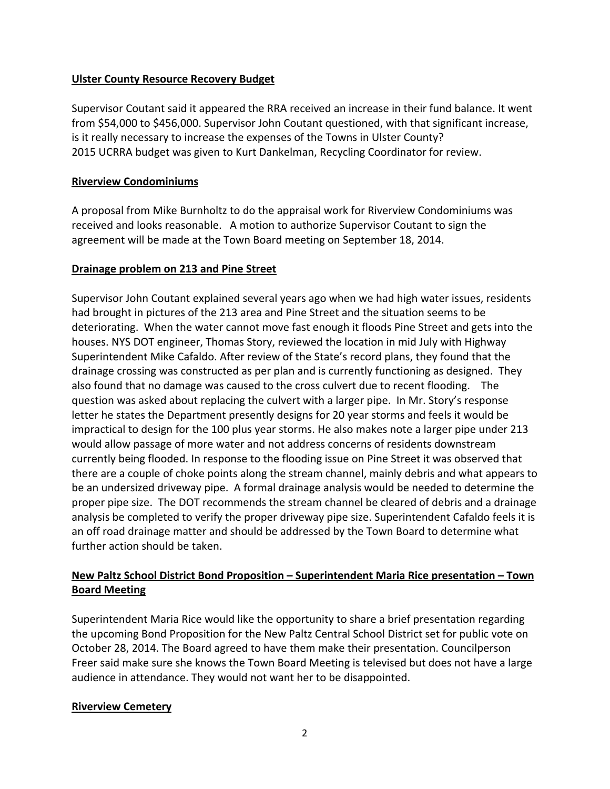### **Ulster County Resource Recovery Budget**

Supervisor Coutant said it appeared the RRA received an increase in their fund balance. It went from \$54,000 to \$456,000. Supervisor John Coutant questioned, with that significant increase, is it really necessary to increase the expenses of the Towns in Ulster County? 2015 UCRRA budget was given to Kurt Dankelman, Recycling Coordinator for review.

### **Riverview Condominiums**

A proposal from Mike Burnholtz to do the appraisal work for Riverview Condominiums was received and looks reasonable. A motion to authorize Supervisor Coutant to sign the agreement will be made at the Town Board meeting on September 18, 2014.

### **Drainage problem on 213 and Pine Street**

Supervisor John Coutant explained several years ago when we had high water issues, residents had brought in pictures of the 213 area and Pine Street and the situation seems to be deteriorating. When the water cannot move fast enough it floods Pine Street and gets into the houses. NYS DOT engineer, Thomas Story, reviewed the location in mid July with Highway Superintendent Mike Cafaldo. After review of the State's record plans, they found that the drainage crossing was constructed as per plan and is currently functioning as designed. They also found that no damage was caused to the cross culvert due to recent flooding. The question was asked about replacing the culvert with a larger pipe. In Mr. Story's response letter he states the Department presently designs for 20 year storms and feels it would be impractical to design for the 100 plus year storms. He also makes note a larger pipe under 213 would allow passage of more water and not address concerns of residents downstream currently being flooded. In response to the flooding issue on Pine Street it was observed that there are a couple of choke points along the stream channel, mainly debris and what appears to be an undersized driveway pipe. A formal drainage analysis would be needed to determine the proper pipe size. The DOT recommends the stream channel be cleared of debris and a drainage analysis be completed to verify the proper driveway pipe size. Superintendent Cafaldo feels it is an off road drainage matter and should be addressed by the Town Board to determine what further action should be taken.

### **New Paltz School District Bond Proposition – Superintendent Maria Rice presentation – Town Board Meeting**

Superintendent Maria Rice would like the opportunity to share a brief presentation regarding the upcoming Bond Proposition for the New Paltz Central School District set for public vote on October 28, 2014. The Board agreed to have them make their presentation. Councilperson Freer said make sure she knows the Town Board Meeting is televised but does not have a large audience in attendance. They would not want her to be disappointed.

### **Riverview Cemetery**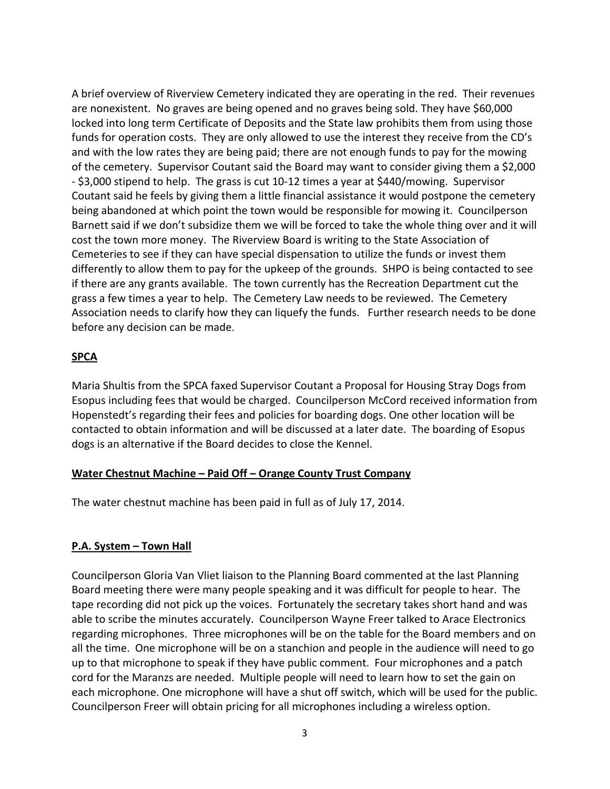A brief overview of Riverview Cemetery indicated they are operating in the red. Their revenues are nonexistent. No graves are being opened and no graves being sold. They have \$60,000 locked into long term Certificate of Deposits and the State law prohibits them from using those funds for operation costs. They are only allowed to use the interest they receive from the CD's and with the low rates they are being paid; there are not enough funds to pay for the mowing of the cemetery. Supervisor Coutant said the Board may want to consider giving them a \$2,000 ‐ \$3,000 stipend to help. The grass is cut 10‐12 times a year at \$440/mowing. Supervisor Coutant said he feels by giving them a little financial assistance it would postpone the cemetery being abandoned at which point the town would be responsible for mowing it. Councilperson Barnett said if we don't subsidize them we will be forced to take the whole thing over and it will cost the town more money. The Riverview Board is writing to the State Association of Cemeteries to see if they can have special dispensation to utilize the funds or invest them differently to allow them to pay for the upkeep of the grounds. SHPO is being contacted to see if there are any grants available. The town currently has the Recreation Department cut the grass a few times a year to help. The Cemetery Law needs to be reviewed. The Cemetery Association needs to clarify how they can liquefy the funds. Further research needs to be done before any decision can be made.

### **SPCA**

Maria Shultis from the SPCA faxed Supervisor Coutant a Proposal for Housing Stray Dogs from Esopus including fees that would be charged. Councilperson McCord received information from Hopenstedt's regarding their fees and policies for boarding dogs. One other location will be contacted to obtain information and will be discussed at a later date. The boarding of Esopus dogs is an alternative if the Board decides to close the Kennel.

### **Water Chestnut Machine – Paid Off – Orange County Trust Company**

The water chestnut machine has been paid in full as of July 17, 2014.

### **P.A. System – Town Hall**

Councilperson Gloria Van Vliet liaison to the Planning Board commented at the last Planning Board meeting there were many people speaking and it was difficult for people to hear. The tape recording did not pick up the voices. Fortunately the secretary takes short hand and was able to scribe the minutes accurately. Councilperson Wayne Freer talked to Arace Electronics regarding microphones. Three microphones will be on the table for the Board members and on all the time. One microphone will be on a stanchion and people in the audience will need to go up to that microphone to speak if they have public comment. Four microphones and a patch cord for the Maranzs are needed. Multiple people will need to learn how to set the gain on each microphone. One microphone will have a shut off switch, which will be used for the public. Councilperson Freer will obtain pricing for all microphones including a wireless option.